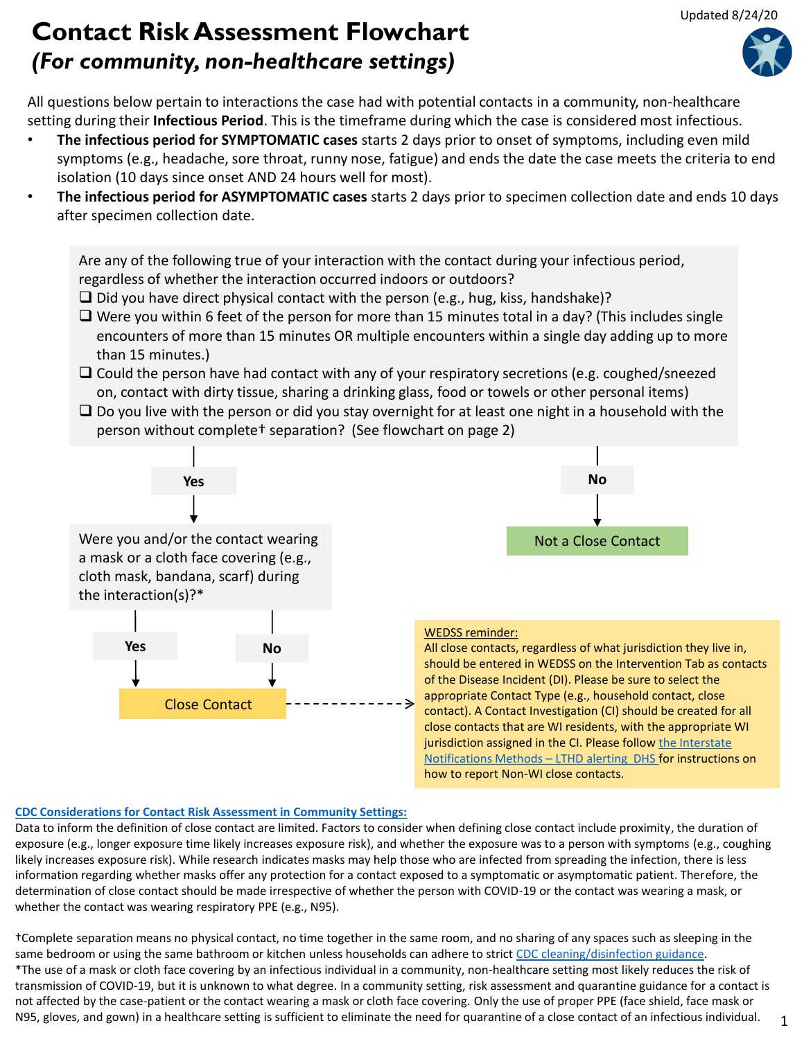## **Contact Risk Assessment Flowchart**  *(For community, non-healthcare settings)*

All questions below pertain to interactions the case had with potential contacts in a community, non-healthcare setting during their **Infectious Period**. This is the timeframe during which the case is considered most infectious.

- **The infectious period for SYMPTOMATIC cases** starts 2 days prior to onset of symptoms, including even mild symptoms (e.g., headache, sore throat, runny nose, fatigue) and ends the date the case meets the criteria to end isolation (10 days since onset AND 24 hours well for most).
- **The infectious period for ASYMPTOMATIC cases** starts 2 days prior to specimen collection date and ends 10 days after specimen collection date.

Close Contact **No** Not a Close Contact Are any of the following true of your interaction with the contact during your infectious period, regardless of whether the interaction occurred indoors or outdoors?  $\square$  Did you have direct physical contact with the person (e.g., hug, kiss, handshake)?  $\Box$  Were you within 6 feet of the person for more than 15 minutes total in a day? (This includes single encounters of more than 15 minutes OR multiple encounters within a single day adding up to more than 15 minutes.)  $\Box$  Could the person have had contact with any of your respiratory secretions (e.g. coughed/sneezed on, contact with dirty tissue, sharing a drinking glass, food or towels or other personal items)  $\square$  Do you live with the person or did you stay overnight for at least one night in a household with the person without complete† separation? (See flowchart on page 2) **Yes Yes No** Were you and/or the contact wearing a mask or a cloth face covering (e.g., cloth mask, bandana, scarf) during the interaction(s)?\* WEDSS reminder: All close contacts, regardless of what jurisdiction they live in, should be entered in WEDSS on the Intervention Tab as contacts of the Disease Incident (DI). Please be sure to select the appropriate Contact Type (e.g., household contact, close contact). A Contact Investigation (CI) should be created for all close contacts that are WI residents, with the appropriate WI jurisdiction assigned in the CI. Please follow the Interstate Notifications Methods – LTHD alerting DHS for instructions on how to report Non-WI close contacts.

## **[CDC Considerations for Contact Risk Assessment in Community Settings:](https://www.cdc.gov/coronavirus/2019-ncov/php/public-health-recommendations.html)**

Data to inform the definition of close contact are limited. Factors to consider when defining close contact include proximity, the duration of exposure (e.g., longer exposure time likely increases exposure risk), and whether the exposure was to a person with symptoms (e.g., coughing likely increases exposure risk). While research indicates masks may help those who are infected from spreading the infection, there is less information regarding whether masks offer any protection for a contact exposed to a symptomatic or asymptomatic patient. Therefore, the determination of close contact should be made irrespective of whether the person with COVID-19 or the contact was wearing a mask, or whether the contact was wearing respiratory PPE (e.g., N95).

†Complete separation means no physical contact, no time together in the same room, and no sharing of any spaces such as sleeping in the same bedroom or using the same bathroom or kitchen unless households can adhere to strict [CDC cleaning/disinfection guidance](https://www.cdc.gov/coronavirus/2019-ncov/prevent-getting-sick/disinfecting-your-home.html). \*The use of a mask or cloth face covering by an infectious individual in a community, non-healthcare setting most likely reduces the risk of transmission of COVID-19, but it is unknown to what degree. In a community setting, risk assessment and quarantine guidance for a contact is not affected by the case-patient or the contact wearing a mask or cloth face covering. Only the use of proper PPE (face shield, face mask or N95, gloves, and gown) in a healthcare setting is sufficient to eliminate the need for quarantine of a close contact of an infectious individual.